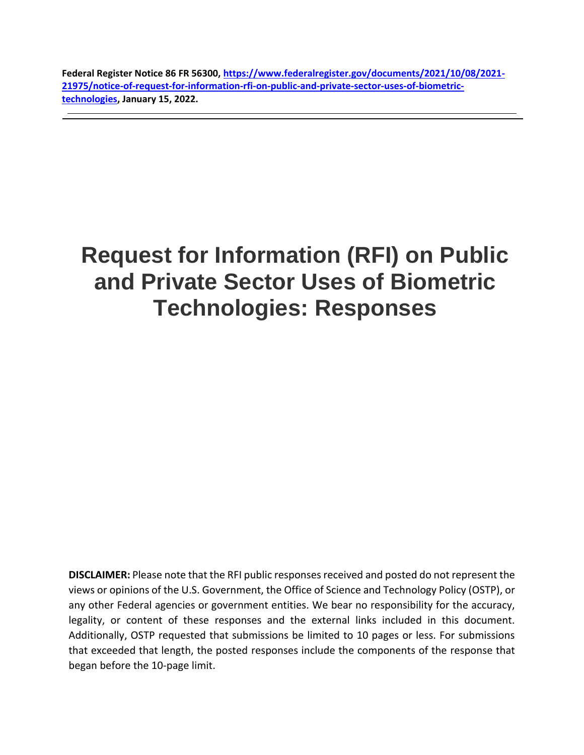**Federal Register Notice 86 FR 56300, [https://www.federalregister.gov/documents/2021/10/08/2021-](https://www.federalregister.gov/documents/2021/10/08/2021-21975/notice-of-request-for-information-rfi-on-public-and-private-sector-uses-of-biometric-technologies) [21975/notice-of-request-for-information-rfi-on-public-and-private-sector-uses-of-biometric](https://www.federalregister.gov/documents/2021/10/08/2021-21975/notice-of-request-for-information-rfi-on-public-and-private-sector-uses-of-biometric-technologies)[technologies,](https://www.federalregister.gov/documents/2021/10/08/2021-21975/notice-of-request-for-information-rfi-on-public-and-private-sector-uses-of-biometric-technologies) January 15, 2022.**

# **Request for Information (RFI) on Public and Private Sector Uses of Biometric Technologies: Responses**

**DISCLAIMER:** Please note that the RFI public responses received and posted do not represent the views or opinions of the U.S. Government, the Office of Science and Technology Policy (OSTP), or any other Federal agencies or government entities. We bear no responsibility for the accuracy, legality, or content of these responses and the external links included in this document. Additionally, OSTP requested that submissions be limited to 10 pages or less. For submissions that exceeded that length, the posted responses include the components of the response that began before the 10-page limit.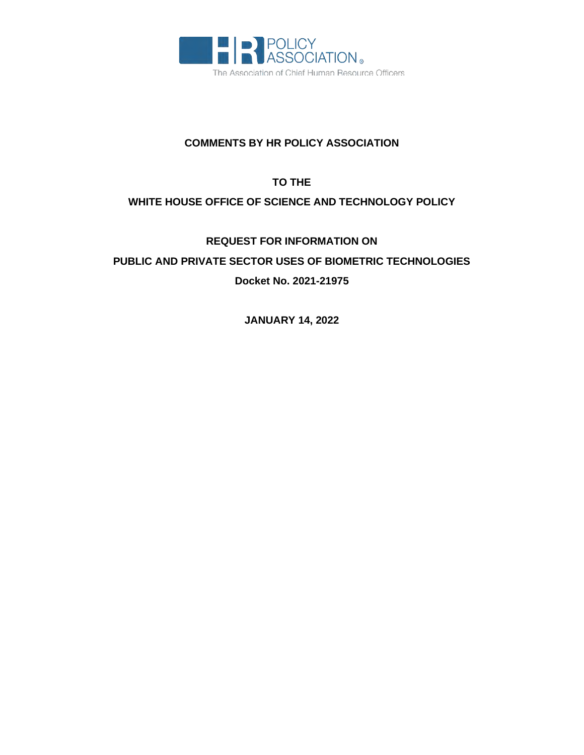

#### **COMMENTS BY HR POLICY ASSOCIATION**

### **TO THE**

#### **WHITE HOUSE OFFICE OF SCIENCE AND TECHNOLOGY POLICY**

## **REQUEST FOR INFORMATION ON PUBLIC AND PRIVATE SECTOR USES OF BIOMETRIC TECHNOLOGIES Docket No. 2021-21975**

**JANUARY 14, 2022**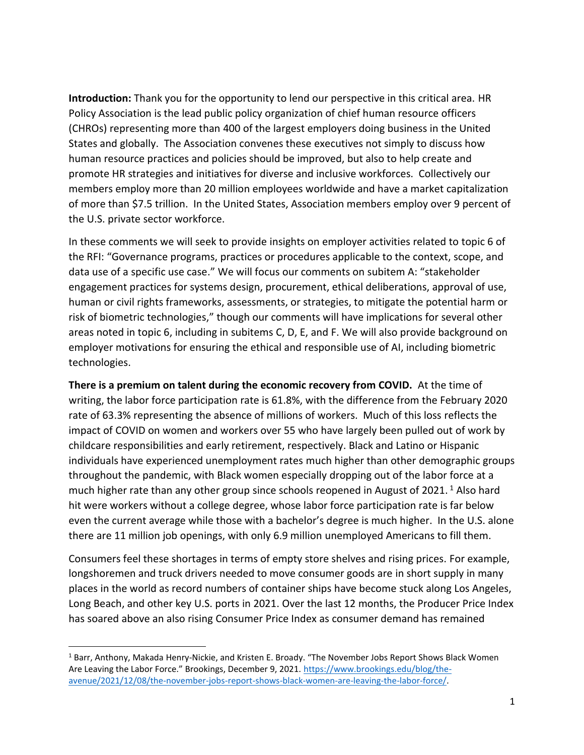**Introduction:** Thank you for the opportunity to lend our perspective in this critical area. HR Policy Association is the lead public policy organization of chief human resource officers (CHROs) representing more than 400 of the largest employers doing business in the United States and globally. The Association convenes these executives not simply to discuss how human resource practices and policies should be improved, but also to help create and promote HR strategies and initiatives for diverse and inclusive workforces. Collectively our members employ more than 20 million employees worldwide and have a market capitalization of more than \$7.5 trillion. In the United States, Association members employ over 9 percent of the U.S. private sector workforce.

In these comments we will seek to provide insights on employer activities related to topic 6 of the RFI: "Governance programs, practices or procedures applicable to the context, scope, and data use of a specific use case." We will focus our comments on subitem A: "stakeholder engagement practices for systems design, procurement, ethical deliberations, approval of use, human or civil rights frameworks, assessments, or strategies, to mitigate the potential harm or risk of biometric technologies," though our comments will have implications for several other areas noted in topic 6, including in subitems C, D, E, and F. We will also provide background on employer motivations for ensuring the ethical and responsible use of AI, including biometric technologies.

**There is a premium on talent during the economic recovery from COVID.** At the time of writing, the labor force participation rate is 61.8%, with the difference from the February 2020 rate of 63.3% representing the absence of millions of workers. Much of this loss reflects the impact of COVID on women and workers over 55 who have largely been pulled out of work by childcare responsibilities and early retirement, respectively. Black and Latino or Hispanic individuals have experienced unemployment rates much higher than other demographic groups throughout the pandemic, with Black women especially dropping out of the labor force at a much higher rate than any other group since schools reopened in August of 2021.<sup>1</sup> Also hard hit were workers without a college degree, whose labor force participation rate is far below even the current average while those with a bachelor's degree is much higher. In the U.S. alone there are 11 million job openings, with only 6.9 million unemployed Americans to fill them.

Consumers feel these shortages in terms of empty store shelves and rising prices. For example, longshoremen and truck drivers needed to move consumer goods are in short supply in many places in the world as record numbers of container ships have become stuck along Los Angeles, Long Beach, and other key U.S. ports in 2021. Over the last 12 months, the Producer Price Index has soared above an also rising Consumer Price Index as consumer demand has remained

<sup>1</sup> Barr, Anthony, Makada Henry-Nickie, and Kristen E. Broady. "The November Jobs Report Shows Black Women Are Leaving the Labor Force." Brookings, December 9, 2021. [https://www.brookings.edu/blog/the](https://www.brookings.edu/blog/the-avenue/2021/12/08/the-november-jobs-report-shows-black-women-are-leaving-the-labor-force/)[avenue/2021/12/08/the-november-jobs-report-shows-black-women-are-leaving-the-labor-force/.](https://www.brookings.edu/blog/the-avenue/2021/12/08/the-november-jobs-report-shows-black-women-are-leaving-the-labor-force/)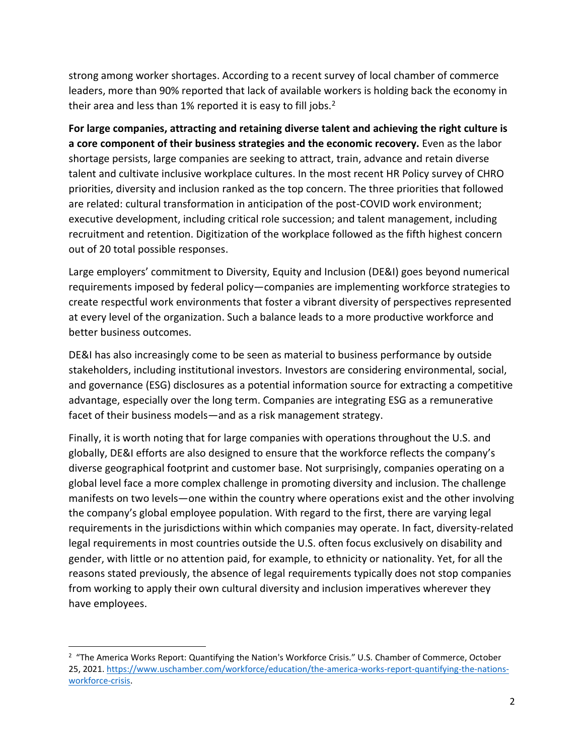strong among worker shortages. According to a recent survey of local chamber of commerce leaders, more than 90% reported that lack of available workers is holding back the economy in their area and less than  $1\%$  reported it is easy to fill jobs.<sup>2</sup>

**For large companies, attracting and retaining diverse talent and achieving the right culture is a core component of their business strategies and the economic recovery.** Even as the labor shortage persists, large companies are seeking to attract, train, advance and retain diverse talent and cultivate inclusive workplace cultures. In the most recent HR Policy survey of CHRO priorities, diversity and inclusion ranked as the top concern. The three priorities that followed are related: cultural transformation in anticipation of the post-COVID work environment; executive development, including critical role succession; and talent management, including recruitment and retention. Digitization of the workplace followed as the fifth highest concern out of 20 total possible responses.

Large employers' commitment to Diversity, Equity and Inclusion (DE&I) goes beyond numerical requirements imposed by federal policy—companies are implementing workforce strategies to create respectful work environments that foster a vibrant diversity of perspectives represented at every level of the organization. Such a balance leads to a more productive workforce and better business outcomes.

DE&I has also increasingly come to be seen as material to business performance by outside stakeholders, including institutional investors. Investors are considering environmental, social, and governance (ESG) disclosures as a potential information source for extracting a competitive advantage, especially over the long term. Companies are integrating ESG as a remunerative facet of their business models—and as a risk management strategy.

Finally, it is worth noting that for large companies with operations throughout the U.S. and globally, DE&I efforts are also designed to ensure that the workforce reflects the company's diverse geographical footprint and customer base. Not surprisingly, companies operating on a global level face a more complex challenge in promoting diversity and inclusion. The challenge manifests on two levels—one within the country where operations exist and the other involving the company's global employee population. With regard to the first, there are varying legal requirements in the jurisdictions within which companies may operate. In fact, diversity-related legal requirements in most countries outside the U.S. often focus exclusively on disability and gender, with little or no attention paid, for example, to ethnicity or nationality. Yet, for all the reasons stated previously, the absence of legal requirements typically does not stop companies from working to apply their own cultural diversity and inclusion imperatives wherever they have employees.

<sup>&</sup>lt;sup>2</sup> "The America Works Report: Quantifying the Nation's Workforce Crisis." U.S. Chamber of Commerce, October 25, 2021. [https://www.uschamber.com/workforce/education/the-america-works-report-quantifying-the-nations](https://www.uschamber.com/workforce/education/the-america-works-report-quantifying-the-nations-workforce-crisis)[workforce-crisis.](https://www.uschamber.com/workforce/education/the-america-works-report-quantifying-the-nations-workforce-crisis)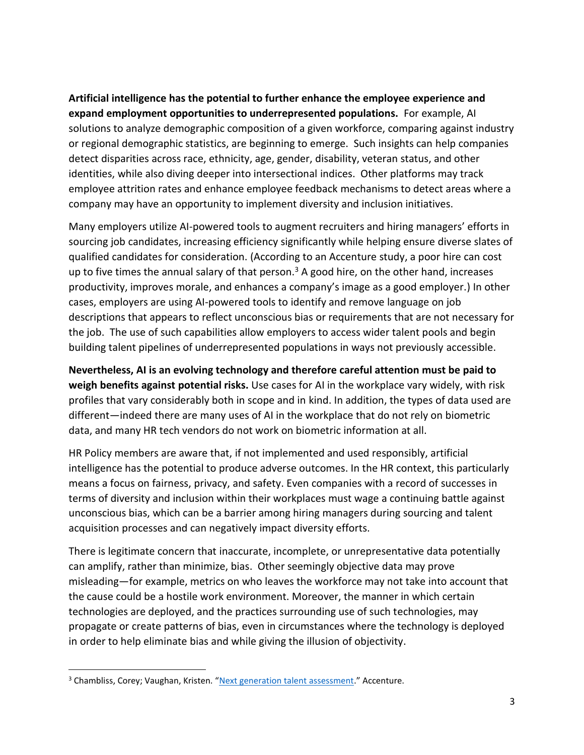**Artificial intelligence has the potential to further enhance the employee experience and expand employment opportunities to underrepresented populations.** For example, AI solutions to analyze demographic composition of a given workforce, comparing against industry or regional demographic statistics, are beginning to emerge. Such insights can help companies detect disparities across race, ethnicity, age, gender, disability, veteran status, and other identities, while also diving deeper into intersectional indices. Other platforms may track employee attrition rates and enhance employee feedback mechanisms to detect areas where a company may have an opportunity to implement diversity and inclusion initiatives.

Many employers utilize AI-powered tools to augment recruiters and hiring managers' efforts in sourcing job candidates, increasing efficiency significantly while helping ensure diverse slates of qualified candidates for consideration. (According to an Accenture study, a poor hire can cost up to five times the annual salary of that person.<sup>3</sup> A good hire, on the other hand, increases productivity, improves morale, and enhances a company's image as a good employer.) In other cases, employers are using AI-powered tools to identify and remove language on job descriptions that appears to reflect unconscious bias or requirements that are not necessary for the job. The use of such capabilities allow employers to access wider talent pools and begin building talent pipelines of underrepresented populations in ways not previously accessible.

**Nevertheless, AI is an evolving technology and therefore careful attention must be paid to weigh benefits against potential risks.** Use cases for AI in the workplace vary widely, with risk profiles that vary considerably both in scope and in kind. In addition, the types of data used are different—indeed there are many uses of AI in the workplace that do not rely on biometric data, and many HR tech vendors do not work on biometric information at all.

HR Policy members are aware that, if not implemented and used responsibly, artificial intelligence has the potential to produce adverse outcomes. In the HR context, this particularly means a focus on fairness, privacy, and safety. Even companies with a record of successes in terms of diversity and inclusion within their workplaces must wage a continuing battle against unconscious bias, which can be a barrier among hiring managers during sourcing and talent acquisition processes and can negatively impact diversity efforts.

There is legitimate concern that inaccurate, incomplete, or unrepresentative data potentially can amplify, rather than minimize, bias. Other seemingly objective data may prove misleading—for example, metrics on who leaves the workforce may not take into account that the cause could be a hostile work environment. Moreover, the manner in which certain technologies are deployed, and the practices surrounding use of such technologies, may propagate or create patterns of bias, even in circumstances where the technology is deployed in order to help eliminate bias and while giving the illusion of objectivity.

<sup>&</sup>lt;sup>3</sup> Chambliss, Corey; Vaughan, Kristen. "[Next generation talent assessment](https://www.accenture.com/us-en/services/us-federal-government/next-generation-talent-assessments)." Accenture.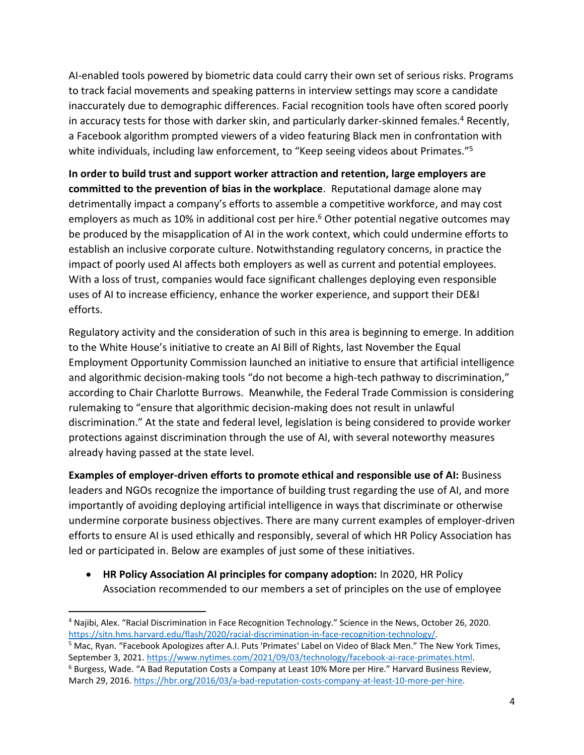AI-enabled tools powered by biometric data could carry their own set of serious risks. Programs to track facial movements and speaking patterns in interview settings may score a candidate inaccurately due to demographic differences. Facial recognition tools have often scored poorly in accuracy tests for those with darker skin, and particularly darker-skinned females.<sup>4</sup> Recently, a Facebook algorithm prompted viewers of a video featuring Black men in confrontation with white individuals, including law enforcement, to "Keep seeing videos about Primates."<sup>5</sup>

**In order to build trust and support worker attraction and retention, large employers are committed to the prevention of bias in the workplace**. Reputational damage alone may detrimentally impact a company's efforts to assemble a competitive workforce, and may cost employers as much as 10% in additional cost per hire.<sup>6</sup> Other potential negative outcomes may be produced by the misapplication of AI in the work context, which could undermine efforts to establish an inclusive corporate culture. Notwithstanding regulatory concerns, in practice the impact of poorly used AI affects both employers as well as current and potential employees. With a loss of trust, companies would face significant challenges deploying even responsible uses of AI to increase efficiency, enhance the worker experience, and support their DE&I efforts.

Regulatory activity and the consideration of such in this area is beginning to emerge. In addition to the White House's initiative to create an AI Bill of Rights, last November the Equal Employment Opportunity Commission launched an initiative to ensure that artificial intelligence and algorithmic decision-making tools "do not become a high-tech pathway to discrimination," according to Chair Charlotte Burrows. Meanwhile, the Federal Trade Commission is considering rulemaking to "ensure that algorithmic decision-making does not result in unlawful discrimination." At the state and federal level, legislation is being considered to provide worker protections against discrimination through the use of AI, with several noteworthy measures already having passed at the state level.

**Examples of employer-driven efforts to promote ethical and responsible use of AI:** Business leaders and NGOs recognize the importance of building trust regarding the use of AI, and more importantly of avoiding deploying artificial intelligence in ways that discriminate or otherwise undermine corporate business objectives. There are many current examples of employer-driven efforts to ensure AI is used ethically and responsibly, several of which HR Policy Association has led or participated in. Below are examples of just some of these initiatives.

• **HR Policy Association AI principles for company adoption:** In 2020, HR Policy Association recommended to our members a set of principles on the use of employee

<sup>5</sup> Mac, Ryan. "Facebook Apologizes after A.I. Puts 'Primates' Label on Video of Black Men." The New York Times, September 3, 2021. [https://www.nytimes.com/2021/09/03/technology/facebook-ai-race-primates.html.](https://www.nytimes.com/2021/09/03/technology/facebook-ai-race-primates.html)

<sup>4</sup> Najibi, Alex. "Racial Discrimination in Face Recognition Technology." Science in the News, October 26, 2020. [https://sitn.hms.harvard.edu/flash/2020/racial-discrimination-in-face-recognition-technology/.](https://sitn.hms.harvard.edu/flash/2020/racial-discrimination-in-face-recognition-technology/)

<sup>&</sup>lt;sup>6</sup> Burgess, Wade. "A Bad Reputation Costs a Company at Least 10% More per Hire." Harvard Business Review, March 29, 2016[. https://hbr.org/2016/03/a-bad-reputation-costs-company-at-least-10-more-per-hire.](https://hbr.org/2016/03/a-bad-reputation-costs-company-at-least-10-more-per-hire)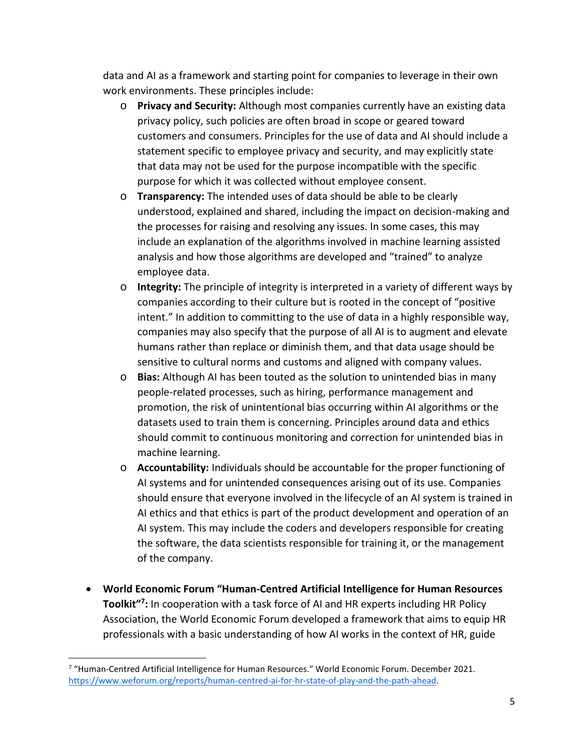data and AI as a framework and starting point for companies to leverage in their own work environments. These principles include:

- o **Privacy and Security:** Although most companies currently have an existing data privacy policy, such policies are often broad in scope or geared toward customers and consumers. Principles for the use of data and AI should include a statement specific to employee privacy and security, and may explicitly state that data may not be used for the purpose incompatible with the specific purpose for which it was collected without employee consent.
- o **Transparency:** The intended uses of data should be able to be clearly understood, explained and shared, including the impact on decision-making and the processes for raising and resolving any issues. In some cases, this may include an explanation of the algorithms involved in machine learning assisted analysis and how those algorithms are developed and "trained" to analyze employee data.
- o **Integrity:** The principle of integrity is interpreted in a variety of different ways by companies according to their culture but is rooted in the concept of "positive intent." In addition to committing to the use of data in a highly responsible way, companies may also specify that the purpose of all AI is to augment and elevate humans rather than replace or diminish them, and that data usage should be sensitive to cultural norms and customs and aligned with company values.
- o **Bias:** Although AI has been touted as the solution to unintended bias in many people-related processes, such as hiring, performance management and promotion, the risk of unintentional bias occurring within AI algorithms or the datasets used to train them is concerning. Principles around data and ethics should commit to continuous monitoring and correction for unintended bias in machine learning.
- o **Accountability:** Individuals should be accountable for the proper functioning of AI systems and for unintended consequences arising out of its use. Companies should ensure that everyone involved in the lifecycle of an AI system is trained in AI ethics and that ethics is part of the product development and operation of an AI system. This may include the coders and developers responsible for creating the software, the data scientists responsible for training it, or the management of the company.
- **World Economic Forum "Human-Centred Artificial Intelligence for Human Resources Toolkit" 7 :** In cooperation with a task force of AI and HR experts including HR Policy Association, the World Economic Forum developed a framework that aims to equip HR professionals with a basic understanding of how AI works in the context of HR, guide

<sup>&</sup>lt;sup>7</sup> "Human-Centred Artificial Intelligence for Human Resources." World Economic Forum. December 2021. [https://www.weforum.org/reports/human-centred-ai-for-hr-state-of-play-and-the-path-ahead.](https://www.weforum.org/reports/human-centred-ai-for-hr-state-of-play-and-the-path-ahead)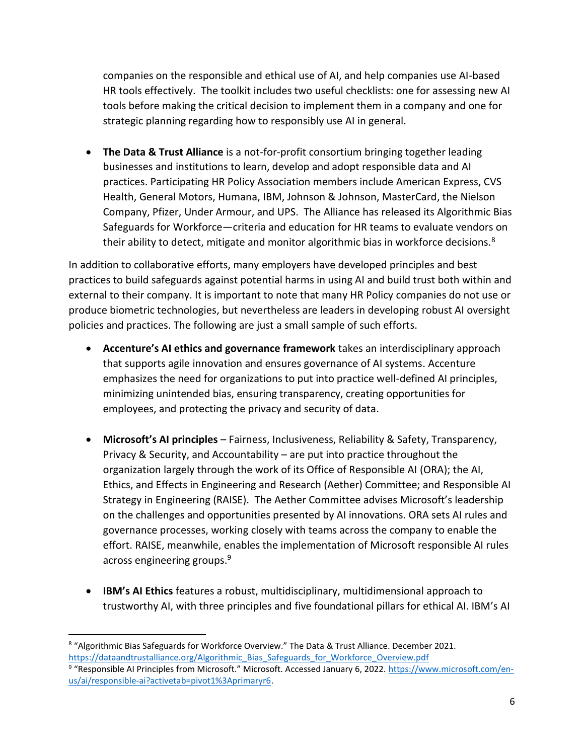companies on the responsible and ethical use of AI, and help companies use AI-based HR tools effectively. The toolkit includes two useful checklists: one for assessing new AI tools before making the critical decision to implement them in a company and one for strategic planning regarding how to responsibly use AI in general.

• **The Data & Trust Alliance** is a not-for-profit consortium bringing together leading businesses and institutions to learn, develop and adopt responsible data and AI practices. Participating HR Policy Association members include American Express, CVS Health, General Motors, Humana, IBM, Johnson & Johnson, MasterCard, the Nielson Company, Pfizer, Under Armour, and UPS. The Alliance has released its Algorithmic Bias Safeguards for Workforce—criteria and education for HR teams to evaluate vendors on their ability to detect, mitigate and monitor algorithmic bias in workforce decisions.<sup>8</sup>

In addition to collaborative efforts, many employers have developed principles and best practices to build safeguards against potential harms in using AI and build trust both within and external to their company. It is important to note that many HR Policy companies do not use or produce biometric technologies, but nevertheless are leaders in developing robust AI oversight policies and practices. The following are just a small sample of such efforts.

- **Accenture's AI ethics and governance framework** takes an interdisciplinary approach that supports agile innovation and ensures governance of AI systems. Accenture emphasizes the need for organizations to put into practice well-defined AI principles, minimizing unintended bias, ensuring transparency, creating opportunities for employees, and protecting the privacy and security of data.
- **Microsoft's AI principles** Fairness, Inclusiveness, Reliability & Safety, Transparency, Privacy & Security, and Accountability – are put into practice throughout the organization largely through the work of its Office of Responsible AI (ORA); the AI, Ethics, and Effects in Engineering and Research (Aether) Committee; and Responsible AI Strategy in Engineering (RAISE). The Aether Committee advises Microsoft's leadership on the challenges and opportunities presented by AI innovations. ORA sets AI rules and governance processes, working closely with teams across the company to enable the effort. RAISE, meanwhile, enables the implementation of Microsoft responsible AI rules across engineering groups.<sup>9</sup>
- **IBM's AI Ethics** features a robust, multidisciplinary, multidimensional approach to trustworthy AI, with three principles and five foundational pillars for ethical AI. IBM's AI

<sup>&</sup>lt;sup>8</sup> "Algorithmic Bias Safeguards for Workforce Overview." The Data & Trust Alliance. December 2021. [https://dataandtrustalliance.org/Algorithmic\\_Bias\\_Safeguards\\_for\\_Workforce\\_Overview.pdf](https://dataandtrustalliance.org/Algorithmic_Bias_Safeguards_for_Workforce_Overview.pdf)

<sup>&</sup>lt;sup>9</sup> "Responsible AI Principles from Microsoft." Microsoft. Accessed January 6, 2022. [https://www.microsoft.com/en](https://www.microsoft.com/en-us/ai/responsible-ai?activetab=pivot1%3Aprimaryr6)[us/ai/responsible-ai?activetab=pivot1%3Aprimaryr6.](https://www.microsoft.com/en-us/ai/responsible-ai?activetab=pivot1%3Aprimaryr6)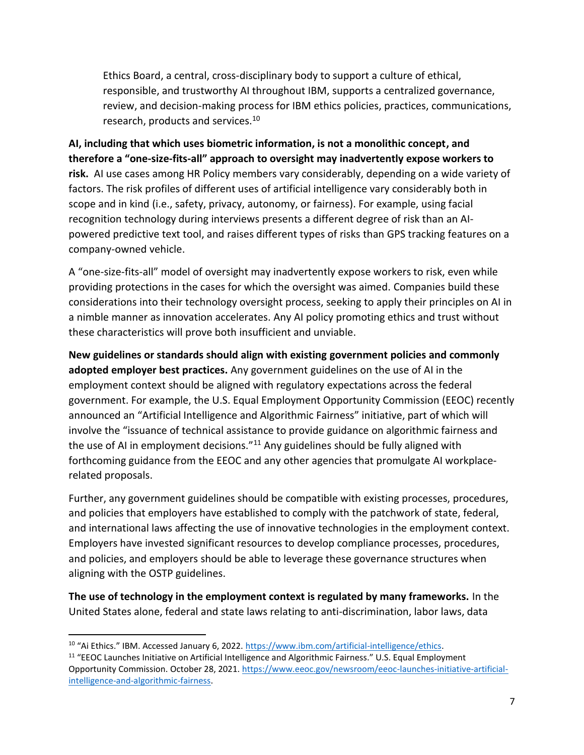Ethics Board, a central, cross-disciplinary body to support a culture of ethical, responsible, and trustworthy AI throughout IBM, supports a centralized governance, review, and decision-making process for IBM ethics policies, practices, communications, research, products and services.<sup>10</sup>

**AI, including that which uses biometric information, is not a monolithic concept, and therefore a "one-size-fits-all" approach to oversight may inadvertently expose workers to risk.** AI use cases among HR Policy members vary considerably, depending on a wide variety of factors. The risk profiles of different uses of artificial intelligence vary considerably both in scope and in kind (i.e., safety, privacy, autonomy, or fairness). For example, using facial recognition technology during interviews presents a different degree of risk than an AIpowered predictive text tool, and raises different types of risks than GPS tracking features on a company-owned vehicle.

A "one-size-fits-all" model of oversight may inadvertently expose workers to risk, even while providing protections in the cases for which the oversight was aimed. Companies build these considerations into their technology oversight process, seeking to apply their principles on AI in a nimble manner as innovation accelerates. Any AI policy promoting ethics and trust without these characteristics will prove both insufficient and unviable.

**New guidelines or standards should align with existing government policies and commonly adopted employer best practices.** Any government guidelines on the use of AI in the employment context should be aligned with regulatory expectations across the federal government. For example, the U.S. Equal Employment Opportunity Commission (EEOC) recently announced an "Artificial Intelligence and Algorithmic Fairness" initiative, part of which will involve the "issuance of technical assistance to provide guidance on algorithmic fairness and the use of AI in employment decisions."<sup>11</sup> Any guidelines should be fully aligned with forthcoming guidance from the EEOC and any other agencies that promulgate AI workplacerelated proposals.

Further, any government guidelines should be compatible with existing processes, procedures, and policies that employers have established to comply with the patchwork of state, federal, and international laws affecting the use of innovative technologies in the employment context. Employers have invested significant resources to develop compliance processes, procedures, and policies, and employers should be able to leverage these governance structures when aligning with the OSTP guidelines.

**The use of technology in the employment context is regulated by many frameworks.** In the United States alone, federal and state laws relating to anti-discrimination, labor laws, data

<sup>&</sup>lt;sup>10</sup> "Ai Ethics." IBM. Accessed January 6, 2022. [https://www.ibm.com/artificial-intelligence/ethics.](https://www.ibm.com/artificial-intelligence/ethics)

<sup>&</sup>lt;sup>11</sup> "EEOC Launches Initiative on Artificial Intelligence and Algorithmic Fairness." U.S. Equal Employment Opportunity Commission. October 28, 2021. [https://www.eeoc.gov/newsroom/eeoc-launches-initiative-artificial](https://www.eeoc.gov/newsroom/eeoc-launches-initiative-artificial-intelligence-and-algorithmic-fairness)[intelligence-and-algorithmic-fairness.](https://www.eeoc.gov/newsroom/eeoc-launches-initiative-artificial-intelligence-and-algorithmic-fairness)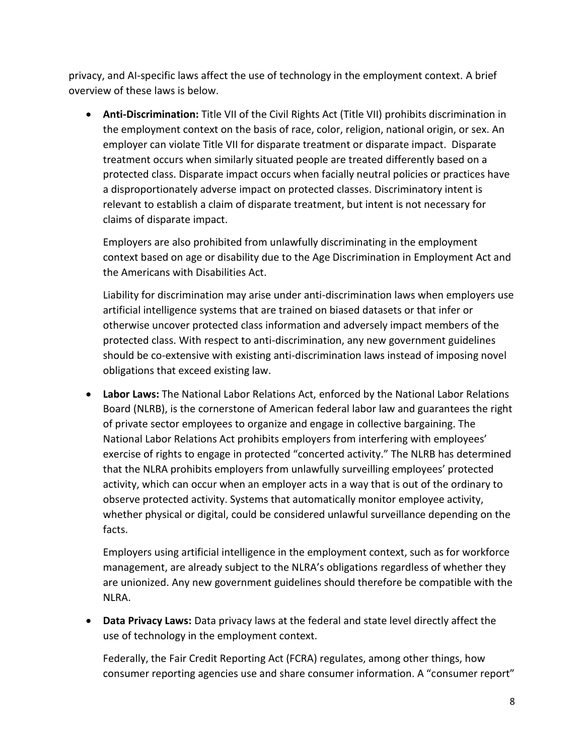privacy, and AI-specific laws affect the use of technology in the employment context. A brief overview of these laws is below.

• **Anti-Discrimination:** Title VII of the Civil Rights Act (Title VII) prohibits discrimination in the employment context on the basis of race, color, religion, national origin, or sex. An employer can violate Title VII for disparate treatment or disparate impact. Disparate treatment occurs when similarly situated people are treated differently based on a protected class. Disparate impact occurs when facially neutral policies or practices have a disproportionately adverse impact on protected classes. Discriminatory intent is relevant to establish a claim of disparate treatment, but intent is not necessary for claims of disparate impact.

Employers are also prohibited from unlawfully discriminating in the employment context based on age or disability due to the Age Discrimination in Employment Act and the Americans with Disabilities Act.

Liability for discrimination may arise under anti-discrimination laws when employers use artificial intelligence systems that are trained on biased datasets or that infer or otherwise uncover protected class information and adversely impact members of the protected class. With respect to anti-discrimination, any new government guidelines should be co-extensive with existing anti-discrimination laws instead of imposing novel obligations that exceed existing law.

• **Labor Laws:** The National Labor Relations Act, enforced by the National Labor Relations Board (NLRB), is the cornerstone of American federal labor law and guarantees the right of private sector employees to organize and engage in collective bargaining. The National Labor Relations Act prohibits employers from interfering with employees' exercise of rights to engage in protected "concerted activity." The NLRB has determined that the NLRA prohibits employers from unlawfully surveilling employees' protected activity, which can occur when an employer acts in a way that is out of the ordinary to observe protected activity. Systems that automatically monitor employee activity, whether physical or digital, could be considered unlawful surveillance depending on the facts.

Employers using artificial intelligence in the employment context, such as for workforce management, are already subject to the NLRA's obligations regardless of whether they are unionized. Any new government guidelines should therefore be compatible with the NLRA.

• **Data Privacy Laws:** Data privacy laws at the federal and state level directly affect the use of technology in the employment context.

Federally, the Fair Credit Reporting Act (FCRA) regulates, among other things, how consumer reporting agencies use and share consumer information. A "consumer report"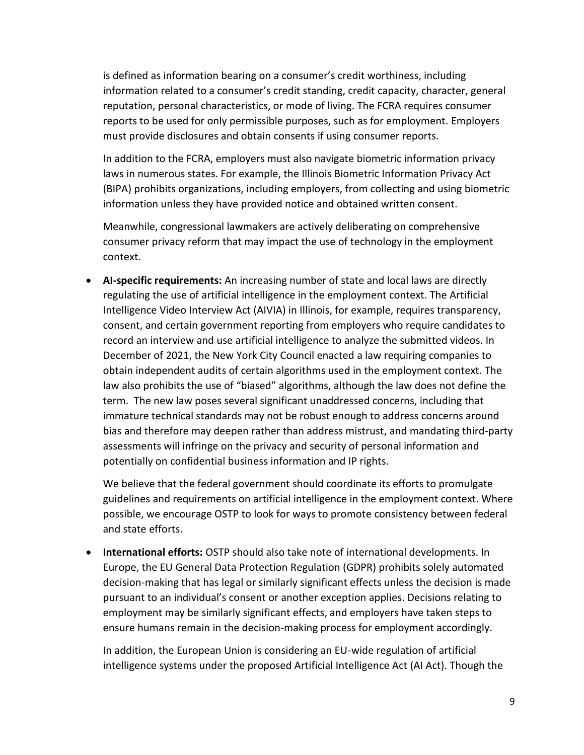is defined as information bearing on a consumer's credit worthiness, including information related to a consumer's credit standing, credit capacity, character, general reputation, personal characteristics, or mode of living. The FCRA requires consumer reports to be used for only permissible purposes, such as for employment. Employers must provide disclosures and obtain consents if using consumer reports.

In addition to the FCRA, employers must also navigate biometric information privacy laws in numerous states. For example, the Illinois Biometric Information Privacy Act (BIPA) prohibits organizations, including employers, from collecting and using biometric information unless they have provided notice and obtained written consent.

Meanwhile, congressional lawmakers are actively deliberating on comprehensive consumer privacy reform that may impact the use of technology in the employment context.

• **AI-specific requirements:** An increasing number of state and local laws are directly regulating the use of artificial intelligence in the employment context. The Artificial Intelligence Video Interview Act (AIVIA) in Illinois, for example, requires transparency, consent, and certain government reporting from employers who require candidates to record an interview and use artificial intelligence to analyze the submitted videos. In December of 2021, the New York City Council enacted a law requiring companies to obtain independent audits of certain algorithms used in the employment context. The law also prohibits the use of "biased" algorithms, although the law does not define the term. The new law poses several significant unaddressed concerns, including that immature technical standards may not be robust enough to address concerns around bias and therefore may deepen rather than address mistrust, and mandating third-party assessments will infringe on the privacy and security of personal information and potentially on confidential business information and IP rights.

We believe that the federal government should coordinate its efforts to promulgate guidelines and requirements on artificial intelligence in the employment context. Where possible, we encourage OSTP to look for ways to promote consistency between federal and state efforts.

• **International efforts:** OSTP should also take note of international developments. In Europe, the EU General Data Protection Regulation (GDPR) prohibits solely automated decision-making that has legal or similarly significant effects unless the decision is made pursuant to an individual's consent or another exception applies. Decisions relating to employment may be similarly significant effects, and employers have taken steps to ensure humans remain in the decision-making process for employment accordingly.

In addition, the European Union is considering an EU-wide regulation of artificial intelligence systems under the proposed Artificial Intelligence Act (AI Act). Though the